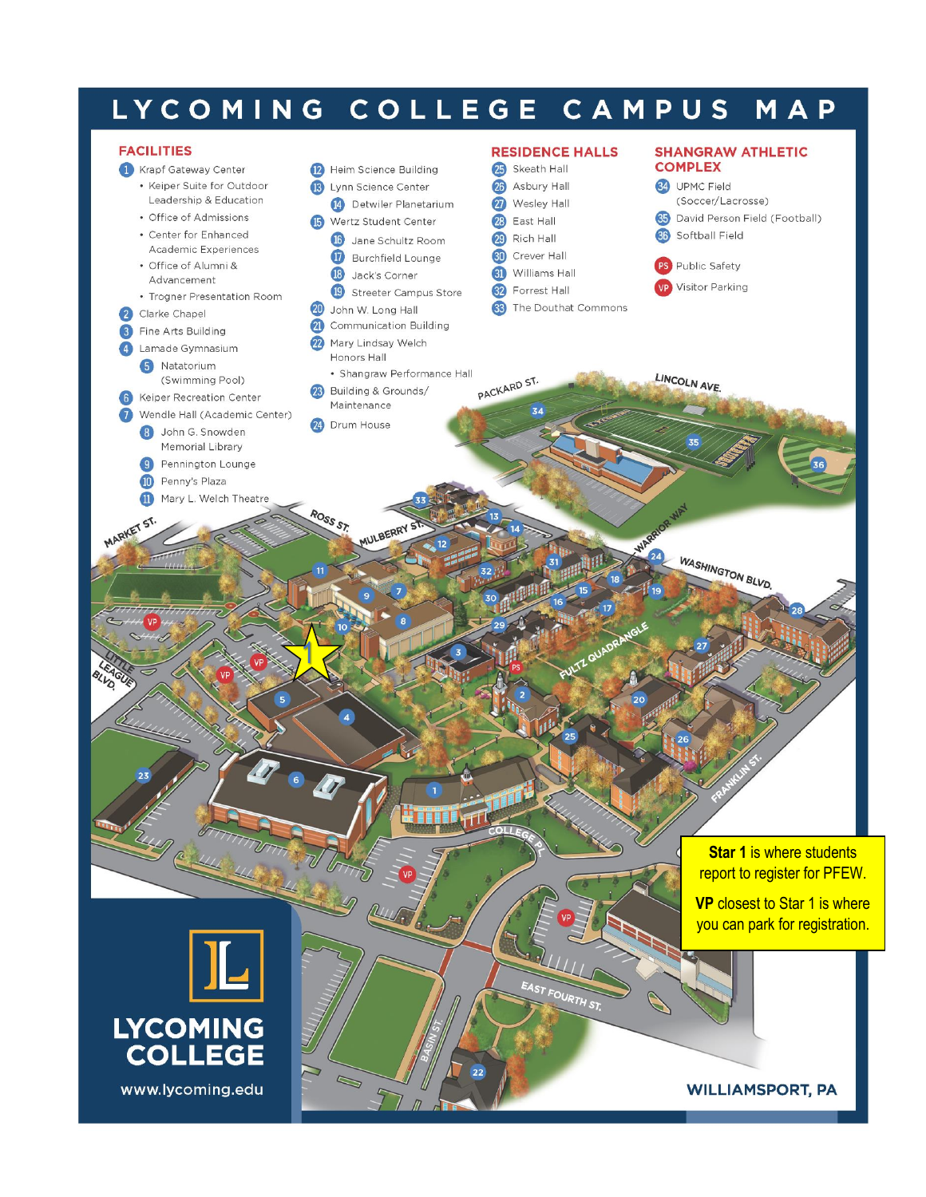